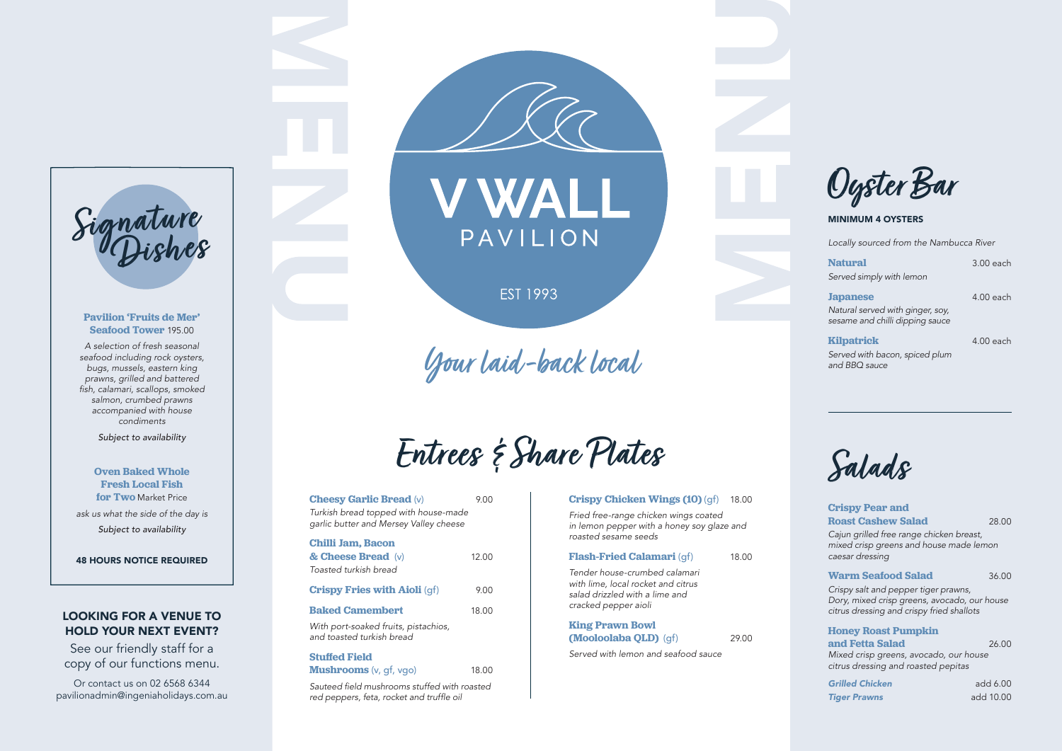Sauteed field mushrooms stuffed with roasted red peppers, feta, rocket and truffle oil

### **Crispy Pear and Roast Cashew Salad 28.00** *Cajun grilled free range chicken breast, mixed crisp greens and house made lemon caesar dressing*  **Warm Seafood Salad 36.00** *Crispy salt and pepper tiger prawns, Dory, mixed crisp greens, avocado, our house citrus dressing and crispy fried shallots*  **Honey Roast Pumpkin and Fetta Salad** 26.00 *Mixed crisp greens, avocado, our house citrus dressing and roasted pepitas*

*Grilled Chicken* add 6.00 *Tiger Prawns* add 10.00

### **King Prawn Bowl (Mooloolaba QLD)** (gf) 29.00

| Locally sourced from the Nambucca River                                                |             |
|----------------------------------------------------------------------------------------|-------------|
| <b>Natural</b><br>Served simply with lemon                                             | $3.00$ each |
| <b>Japanese</b><br>Natural served with ginger, soy,<br>sesame and chilli dipping sauce | $4.00$ each |
| <b>Kilpatrick</b><br>Served with bacon, spiced plum<br>and BBO sauce                   | $4.00$ each |

### **Pavilion 'Fruits de Mer' Seafood Tower** 195.00

*A selection of fresh seasonal seafood including rock oysters, bugs, mussels, eastern king prawns, grilled and battered*  fish, calamari, scallops, smoked *salmon, crumbed prawns accompanied with house condiments* 

*Subject to availability* 

**Oven Baked Whole Fresh Local Fish for Two** Market Price *ask us what the side of the day is Subject to availability*

48 HOURS NOTICE REQUIRED

**Entrees & Share Plates**

## **Cheesy Garlic Bread** (v) 9.00 *Turkish bread topped with house-made garlic butter and Mersey Valley cheese*  **Chilli Jam, Bacon & Cheese Bread** (v) 12.00 *Toasted turkish bread* **Crispy Fries with Aioli** (qf) 9.00 **Baked Camembert 18.00** *With port-soaked fruits, pistachios, and toasted turkish bread* **Stuffed Field Mushrooms** (v, gf, vgo) 18.00



### MINIMUM 4 OYSTERS

**Salads**

**Crispy Chicken Wings (10)** (gf) 18.00



*Fried free-range chicken wings coated in lemon pepper with a honey soy glaze and roasted sesame seeds* 

### **Flash-Fried Calamari** (qf) 18.00

*Tender house-crumbed calamari with lime, local rocket and citrus salad drizzled with a lime and cracked pepper aioli*

*Served with lemon and seafood sauce*

## LOOKING FOR A VENUE TO HOLD YOUR NEXT EVENT?

See our friendly staff for a copy of our functions menu.

Or contact us on 02 6568 6344 pavilionadmin@ingeniaholidays.com.au





**EST 1993** 

Your laid-back local